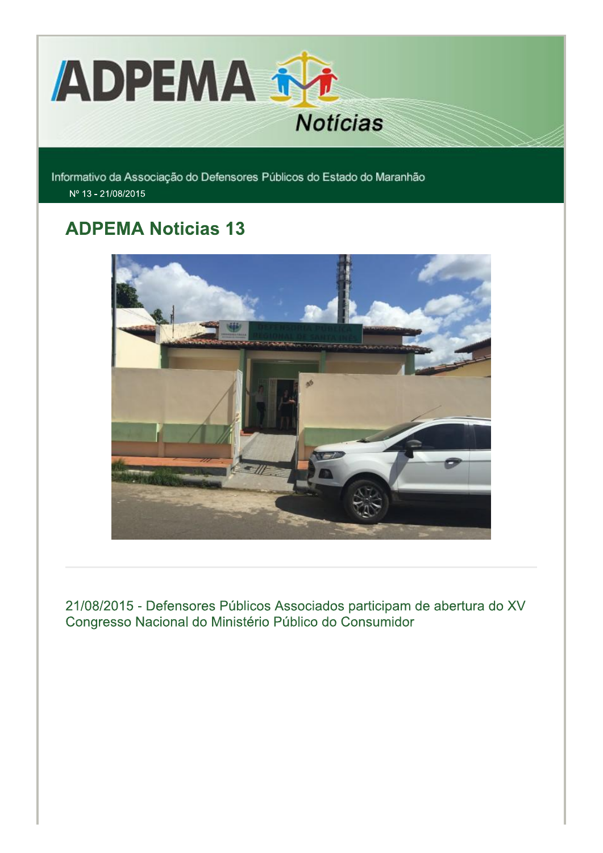

Informativo da Associação do Defensores Públicos do Estado do Maranhão Nº 13 - 21/08/2015

# **ADPEMA Noticias 13**



21/08/2015 - Defensores Públicos Associados participam de abertura do XV Congresso Nacional do Ministério Público do Consumidor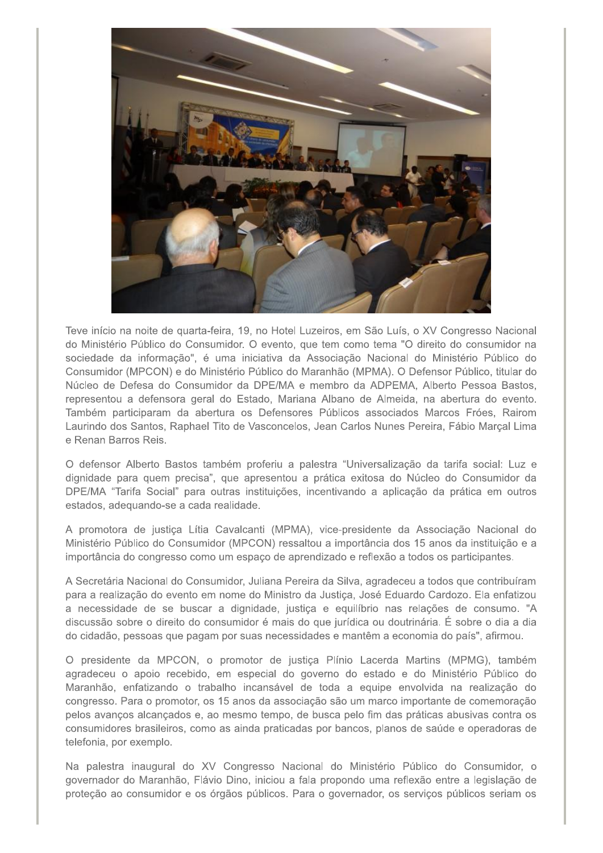

Teve início na noite de quarta-feira, 19, no Hotel Luzeiros, em São Luís, o XV Congresso Nacional do Ministério Público do Consumidor. O evento, que tem como tema "O direito do consumidor na sociedade da informação", é uma iniciativa da Associação Nacional do Ministério Público do Consumidor (MPCON) e do Ministério Público do Maranhão (MPMA). O Defensor Público, titular do Núcleo de Defesa do Consumidor da DPE/MA e membro da ADPEMA, Alberto Pessoa Bastos, representou a defensora geral do Estado, Mariana Albano de Almeida, na abertura do evento. Também participaram da abertura os Defensores Públicos associados Marcos Fróes, Rairom Laurindo dos Santos, Raphael Tito de Vasconcelos, Jean Carlos Nunes Pereira, Fábio Marçal Lima e Renan Barros Reis.

O defensor Alberto Bastos também proferiu a palestra "Universalização da tarifa social: Luz e dignidade para quem precisa", que apresentou a prática exitosa do Núcleo do Consumidor da DPE/MA "Tarifa Social" para outras instituições, incentivando a aplicação da prática em outros estados, adequando-se a cada realidade.

A promotora de justiça Lítia Cavalcanti (MPMA), vice-presidente da Associação Nacional do Ministério Público do Consumidor (MPCON) ressaltou a importância dos 15 anos da instituição e a importância do congresso como um espaço de aprendizado e reflexão a todos os participantes.

A Secretária Nacional do Consumidor, Juliana Pereira da Silva, agradeceu a todos que contribuíram para a realização do evento em nome do Ministro da Justica, José Eduardo Cardozo. Ela enfatizou a necessidade de se buscar a dignidade, justica e equilíbrio nas relações de consumo. "A discussão sobre o direito do consumidor é mais do que jurídica ou doutrinária. É sobre o dia a dia do cidadão, pessoas que pagam por suas necessidades e mantêm a economia do país", afirmou.

O presidente da MPCON, o promotor de justica Plínio Lacerda Martins (MPMG), também agradeceu o apoio recebido, em especial do governo do estado e do Ministério Público do Maranhão, enfatizando o trabalho incansável de toda a equipe envolvida na realização do congresso. Para o promotor, os 15 anos da associação são um marco importante de comemoração pelos avanços alcançados e, ao mesmo tempo, de busca pelo fim das práticas abusivas contra os consumidores brasileiros, como as ainda praticadas por bancos, planos de saúde e operadoras de telefonia, por exemplo.

Na palestra inaugural do XV Congresso Nacional do Ministério Público do Consumidor, o governador do Maranhão, Flávio Dino, iniciou a fala propondo uma reflexão entre a legislação de proteção ao consumidor e os órgãos públicos. Para o governador, os serviços públicos seriam os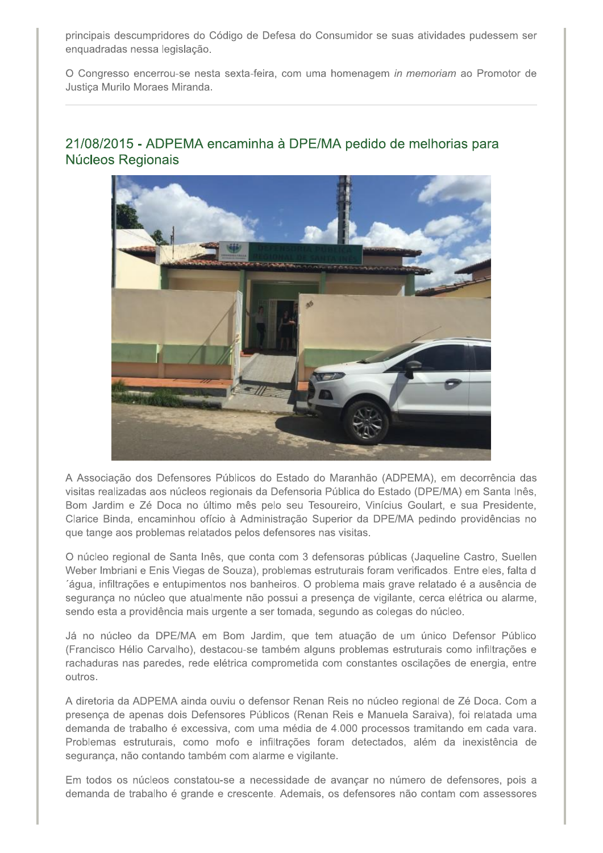principais descumpridores do Código de Defesa do Consumidor se suas atividades pudessem ser enquadradas nessa legislação.

O Congresso encerrou-se nesta sexta-feira, com uma homenagem in memoriam ao Promotor de Justica Murilo Moraes Miranda.

# 21/08/2015 - ADPEMA encaminha à DPE/MA pedido de melhorias para Núcleos Regionais



A Associação dos Defensores Públicos do Estado do Maranhão (ADPEMA), em decorrência das visitas realizadas aos núcleos regionais da Defensoria Pública do Estado (DPE/MA) em Santa Inês, Bom Jardim e Zé Doca no último mês pelo seu Tesoureiro, Vinícius Goulart, e sua Presidente, Clarice Binda, encaminhou ofício à Administração Superior da DPE/MA pedindo providências no que tange aos problemas relatados pelos defensores nas visitas.

O núcleo regional de Santa Inês, que conta com 3 defensoras públicas (Jaqueline Castro, Suellen Weber Imbriani e Enis Viegas de Souza), problemas estruturais foram verificados. Entre eles, falta d áqua, infiltrações e entupimentos nos banheiros. O problema mais grave relatado é a ausência de segurança no núcleo que atualmente não possui a presença de vigilante, cerca elétrica ou alarme, sendo esta a providência mais urgente a ser tomada, segundo as colegas do núcleo.

Já no núcleo da DPE/MA em Bom Jardim, que tem atuação de um único Defensor Público (Francisco Hélio Carvalho), destacou-se também alguns problemas estruturais como infiltrações e rachaduras nas paredes, rede elétrica comprometida com constantes oscilações de energia, entre outros.

A diretoria da ADPEMA ainda ouviu o defensor Renan Reis no núcleo regional de Zé Doca. Com a presença de apenas dois Defensores Públicos (Renan Reis e Manuela Saraiva), foi relatada uma demanda de trabalho é excessiva, com uma média de 4.000 processos tramitando em cada vara. Problemas estruturais, como mofo e infiltrações foram detectados, além da inexistência de segurança, não contando também com alarme e vigilante.

Em todos os núcleos constatou-se a necessidade de avançar no número de defensores, pois a demanda de trabalho é grande e crescente. Ademais, os defensores não contam com assessores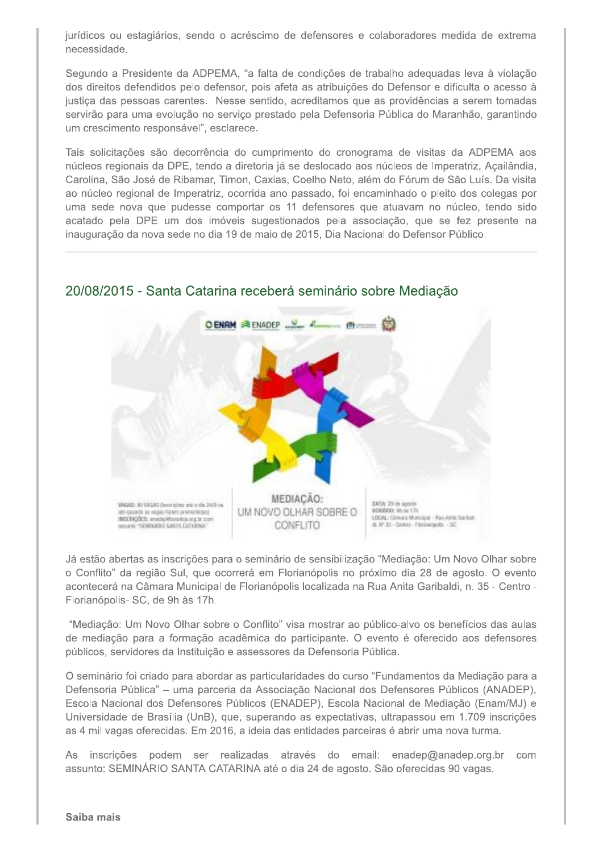jurídicos ou estagiários, sendo o acréscimo de defensores e colaboradores medida de extrema necessidade.

Segundo a Presidente da ADPEMA, "a falta de condições de trabalho adeguadas leva à violação dos direitos defendidos pelo defensor, pois afeta as atribuições do Defensor e dificulta o acesso à justiça das pessoas carentes. Nesse sentido, acreditamos que as providências a serem tomadas servirão para uma evolução no serviço prestado pela Defensoria Pública do Maranhão, garantindo um crescimento responsável", esclarece.

Tais solicitações são decorrência do cumprimento do cronograma de visitas da ADPEMA aos núcleos regionais da DPE, tendo a diretoria já se deslocado aos núcleos de Imperatriz, Açailândia, Carolina, São José de Ribamar, Timon, Caxias, Coelho Neto, além do Fórum de São Luís. Da visita ao núcleo regional de Imperatriz, ocorrida ano passado, foi encaminhado o pleito dos colegas por uma sede nova que pudesse comportar os 11 defensores que atuavam no núcleo, tendo sido acatado pela DPE um dos imóveis sugestionados pela associação, que se fez presente na inauguração da nova sede no dia 19 de maio de 2015, Dia Nacional do Defensor Público.



### 20/08/2015 - Santa Catarina receberá seminário sobre Mediação

Já estão abertas as inscrições para o seminário de sensibilização "Mediação: Um Novo Olhar sobre o Conflito" da região Sul, que ocorrerá em Florianópolis no próximo dia 28 de agosto. O evento acontecerá na Câmara Municipal de Florianópolis localizada na Rua Anita Garibaldi, n. 35 - Centro -Florianópolis- SC, de 9h às 17h.

"Mediação: Um Novo Olhar sobre o Conflito" visa mostrar ao público-alvo os benefícios das aulas de mediação para a formação acadêmica do participante. O evento é oferecido aos defensores públicos, servidores da Instituição e assessores da Defensoria Pública.

O seminário foi criado para abordar as particularidades do curso "Fundamentos da Mediação para a Defensoria Pública" – uma parceria da Associação Nacional dos Defensores Públicos (ANADEP), Escola Nacional dos Defensores Públicos (ENADEP), Escola Nacional de Mediação (Enam/MJ) e Universidade de Brasília (UnB), que, superando as expectativas, ultrapassou em 1.709 inscrições as 4 mil vagas oferecidas. Em 2016, a ideia das entidades parceiras é abrir uma nova turma.

As inscrições podem ser realizadas através do email: enadep@anadep.org.br com assunto: SEMINÁRIO SANTA CATARINA até o dia 24 de agosto. São oferecidas 90 vagas.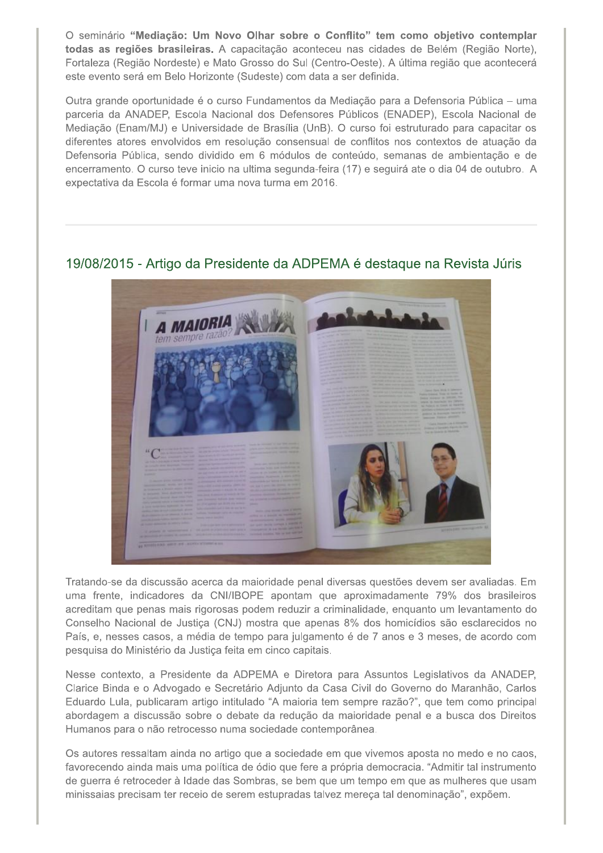O seminário "Mediação: Um Novo Olhar sobre o Conflito" tem como objetivo contemplar todas as regiões brasileiras. A capacitação aconteceu nas cidades de Belém (Região Norte), Fortaleza (Região Nordeste) e Mato Grosso do Sul (Centro-Oeste). A última região que acontecerá este evento será em Belo Horizonte (Sudeste) com data a ser definida.

Outra grande oportunidade é o curso Fundamentos da Mediação para a Defensoria Pública – uma parceria da ANADEP, Escola Nacional dos Defensores Públicos (ENADEP), Escola Nacional de Mediação (Enam/MJ) e Universidade de Brasília (UnB). O curso foi estruturado para capacitar os diferentes atores envolvidos em resolução consensual de conflitos nos contextos de atuação da Defensoria Pública, sendo dividido em 6 módulos de conteúdo, semanas de ambientação e de encerramento. O curso teve inicio na ultima segunda-feira (17) e seguirá ate o dia 04 de outubro. A expectativa da Escola é formar uma nova turma em 2016.

### 19/08/2015 - Artigo da Presidente da ADPEMA é destague na Revista Júris



Tratando-se da discussão acerca da maioridade penal diversas questões devem ser avaliadas. Em uma frente, indicadores da CNI/IBOPE apontam que aproximadamente 79% dos brasileiros acreditam que penas mais rigorosas podem reduzir a criminalidade, enquanto um levantamento do Conselho Nacional de Justiça (CNJ) mostra que apenas 8% dos homicídios são esclarecidos no País, e, nesses casos, a média de tempo para julgamento é de 7 anos e 3 meses, de acordo com pesquisa do Ministério da Justiça feita em cinco capitais.

Nesse contexto, a Presidente da ADPEMA e Diretora para Assuntos Legislativos da ANADEP, Clarice Binda e o Advogado e Secretário Adjunto da Casa Civil do Governo do Maranhão, Carlos Eduardo Lula, publicaram artigo intitulado "A maioria tem sempre razão?", que tem como principal abordagem a discussão sobre o debate da redução da maioridade penal e a busca dos Direitos Humanos para o não retrocesso numa sociedade contemporânea.

Os autores ressaltam ainda no artigo que a sociedade em que vivemos aposta no medo e no caos, favorecendo ainda mais uma política de ódio que fere a própria democracia. "Admitir tal instrumento de guerra é retroceder à Idade das Sombras, se bem que um tempo em que as mulheres que usam minissaias precisam ter receio de serem estupradas talvez mereça tal denominação", expõem.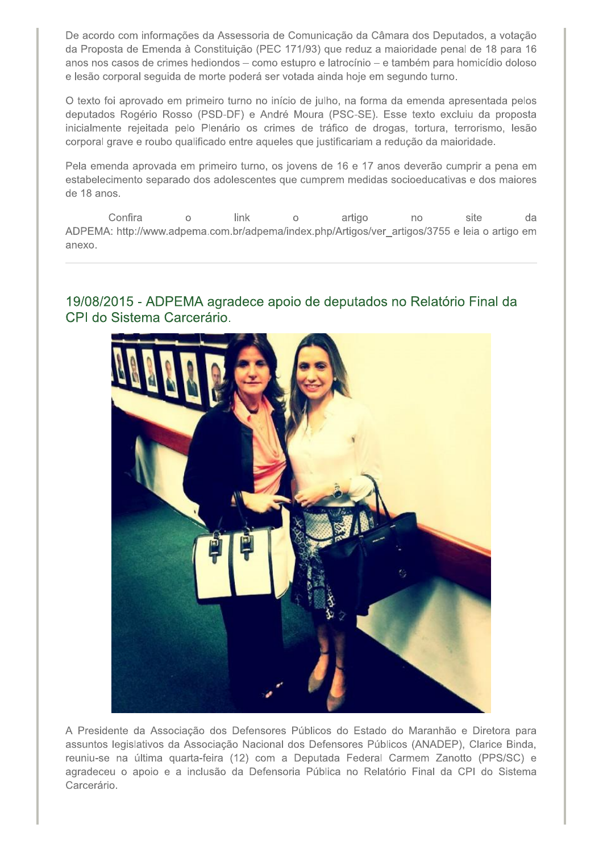De acordo com informações da Assessoria de Comunicação da Câmara dos Deputados, a votação da Proposta de Emenda à Constituição (PEC 171/93) que reduz a maioridade penal de 18 para 16 anos nos casos de crimes hediondos - como estupro e latrocínio - e também para homicídio doloso e lesão corporal seguida de morte poderá ser votada ainda hoje em segundo turno.

O texto foi aprovado em primeiro turno no início de julho, na forma da emenda apresentada pelos deputados Rogério Rosso (PSD-DF) e André Moura (PSC-SE). Esse texto excluiu da proposta inicialmente rejeitada pelo Plenário os crimes de tráfico de drogas, tortura, terrorismo, lesão corporal grave e roubo qualificado entre aqueles que justificariam a redução da maioridade.

Pela emenda aprovada em primeiro turno, os jovens de 16 e 17 anos deverão cumprir a pena em estabelecimento separado dos adolescentes que cumprem medidas socioeducativas e dos maiores de 18 anos.

Confira link artigo  $\circ$ site da  $\circ$ no ADPEMA: http://www.adpema.com.br/adpema/index.php/Artigos/ver\_artigos/3755 e leia o artigo em anexo

19/08/2015 - ADPEMA agradece apoio de deputados no Relatório Final da CPI do Sistema Carcerário.



A Presidente da Associação dos Defensores Públicos do Estado do Maranhão e Diretora para assuntos legislativos da Associação Nacional dos Defensores Públicos (ANADEP), Clarice Binda, reuniu-se na última quarta-feira (12) com a Deputada Federal Carmem Zanotto (PPS/SC) e agradeceu o apoio e a inclusão da Defensoria Pública no Relatório Final da CPI do Sistema Carcerário.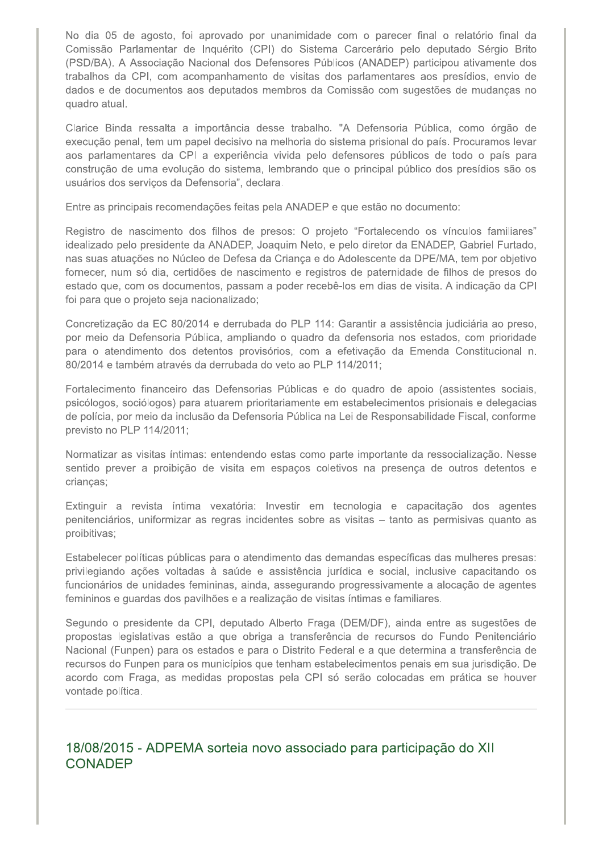No dia 05 de agosto, foi aprovado por unanimidade com o parecer final o relatório final da Comissão Parlamentar de Inquérito (CPI) do Sistema Carcerário pelo deputado Sérgio Brito (PSD/BA). A Associação Nacional dos Defensores Públicos (ANADEP) participou ativamente dos trabalhos da CPI, com acompanhamento de visitas dos parlamentares aos presídios, envio de dados e de documentos aos deputados membros da Comissão com sugestões de mudanças no quadro atual.

Clarice Binda ressalta a importância desse trabalho. "A Defensoria Pública, como órgão de execução penal, tem um papel decisivo na melhoria do sistema prisional do país. Procuramos levar aos parlamentares da CPI a experiência vivida pelo defensores públicos de todo o país para construção de uma evolução do sistema, lembrando que o principal público dos presídios são os usuários dos serviços da Defensoria", declara.

Entre as principais recomendações feitas pela ANADEP e que estão no documento:

Registro de nascimento dos filhos de presos: O projeto "Fortalecendo os vínculos familiares" idealizado pelo presidente da ANADEP, Joaquim Neto, e pelo diretor da ENADEP, Gabriel Furtado, nas suas atuações no Núcleo de Defesa da Criança e do Adolescente da DPE/MA, tem por objetivo fornecer, num só dia, certidões de nascimento e registros de paternidade de filhos de presos do estado que, com os documentos, passam a poder recebê-los em dias de visita. A indicação da CPI foi para que o projeto seja nacionalizado;

Concretização da EC 80/2014 e derrubada do PLP 114: Garantir a assistência judiciária ao preso, por meio da Defensoria Pública, ampliando o quadro da defensoria nos estados, com prioridade para o atendimento dos detentos provisórios, com a efetivação da Emenda Constitucional n. 80/2014 e também através da derrubada do veto ao PLP 114/2011;

Fortalecimento financeiro das Defensorias Públicas e do quadro de apoio (assistentes sociais, psicólogos, sociólogos) para atuarem prioritariamente em estabelecimentos prisionais e delegacias de polícia, por meio da inclusão da Defensoria Pública na Lei de Responsabilidade Fiscal, conforme previsto no PLP 114/2011;

Normatizar as visitas íntimas: entendendo estas como parte importante da ressocialização. Nesse sentido prever a proibição de visita em espaços coletivos na presença de outros detentos e crianças;

Extinguir a revista íntima vexatória: Investir em tecnologia e capacitação dos agentes penitenciários, uniformizar as regras incidentes sobre as visitas - tanto as permisivas quanto as proibitivas;

Estabelecer políticas públicas para o atendimento das demandas específicas das mulheres presas: privilegiando ações voltadas à saúde e assistência jurídica e social, inclusive capacitando os funcionários de unidades femininas, ainda, assegurando progressivamente a alocação de agentes femininos e guardas dos pavilhões e a realização de visitas íntimas e familiares.

Segundo o presidente da CPI, deputado Alberto Fraga (DEM/DF), ainda entre as sugestões de propostas legislativas estão a que obriga a transferência de recursos do Fundo Penitenciário Nacional (Funpen) para os estados e para o Distrito Federal e a que determina a transferência de recursos do Funpen para os municípios que tenham estabelecimentos penais em sua jurisdição. De acordo com Fraga, as medidas propostas pela CPI só serão colocadas em prática se houver vontade política.

# 18/08/2015 - ADPEMA sorteia novo associado para participação do XII **CONADEP**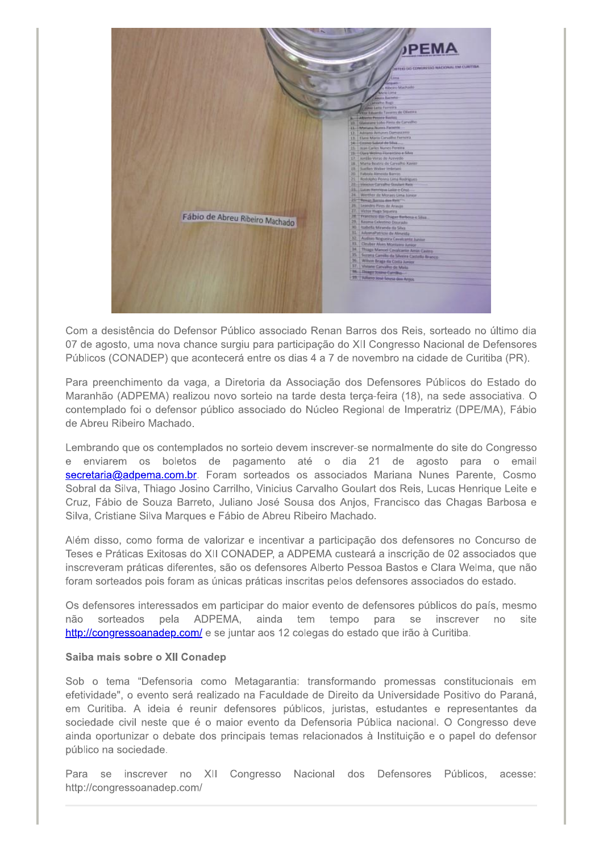

Com a desistência do Defensor Público associado Renan Barros dos Reis, sorteado no último dia 07 de agosto, uma nova chance surgiu para participação do XII Congresso Nacional de Defensores Públicos (CONADEP) que acontecerá entre os dias 4 a 7 de novembro na cidade de Curitiba (PR).

Para preenchimento da vaga, a Diretoria da Associação dos Defensores Públicos do Estado do Maranhão (ADPEMA) realizou novo sorteio na tarde desta terça-feira (18), na sede associativa. O contemplado foi o defensor público associado do Núcleo Regional de Imperatriz (DPE/MA), Fábio de Abreu Ribeiro Machado.

Lembrando que os contemplados no sorteio devem inscrever-se normalmente do site do Congresso e enviarem os boletos de pagamento até o dia 21 de agosto para o email secretaria@adpema.com.br. Foram sorteados os associados Mariana Nunes Parente, Cosmo Sobral da Silva, Thiago Josino Carrilho, Vinicius Carvalho Goulart dos Reis, Lucas Henrique Leite e Cruz, Fábio de Souza Barreto, Juliano José Sousa dos Anjos, Francisco das Chagas Barbosa e Silva, Cristiane Silva Marques e Fábio de Abreu Ribeiro Machado.

Além disso, como forma de valorizar e incentivar a participação dos defensores no Concurso de Teses e Práticas Exitosas do XII CONADEP, a ADPEMA custeará a inscrição de 02 associados que inscreveram práticas diferentes, são os defensores Alberto Pessoa Bastos e Clara Welma, que não foram sorteados pois foram as únicas práticas inscritas pelos defensores associados do estado.

Os defensores interessados em participar do maior evento de defensores públicos do país, mesmo sorteados pela ADPEMA, ainda não tem tempo para se inscrever no site http://congressoanadep.com/ e se juntar aos 12 colegas do estado que irão à Curitiba.

#### Saiba mais sobre o XII Conadep

Sob o tema "Defensoria como Metagarantia: transformando promessas constitucionais em efetividade", o evento será realizado na Faculdade de Direito da Universidade Positivo do Paraná, em Curitiba. A ideia é reunir defensores públicos, juristas, estudantes e representantes da sociedade civil neste que é o maior evento da Defensoria Pública nacional. O Congresso deve ainda oportunizar o debate dos principais temas relacionados à Instituição e o papel do defensor público na sociedade.

Para se inscrever no XII Congresso Nacional dos Defensores Públicos, acesse: http://congressoanadep.com/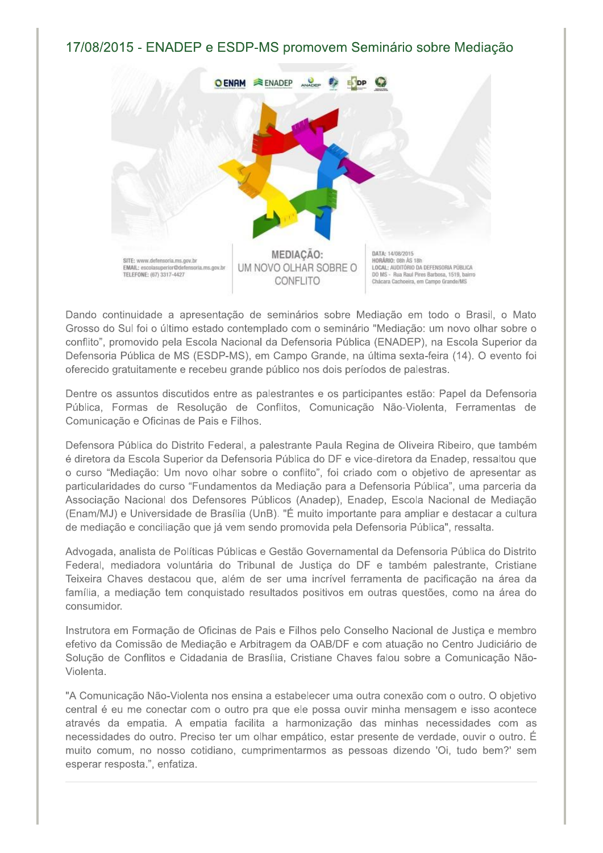17/08/2015 - ENADEP e ESDP-MS promovem Seminário sobre Mediação



Dando continuidade a apresentação de seminários sobre Mediação em todo o Brasil, o Mato Grosso do Sul foi o último estado contemplado com o seminário "Mediação: um novo olhar sobre o conflito", promovido pela Escola Nacional da Defensoria Pública (ENADEP), na Escola Superior da Defensoria Pública de MS (ESDP-MS), em Campo Grande, na última sexta-feira (14). O evento foi oferecido gratuitamente e recebeu grande público nos dois períodos de palestras.

Dentre os assuntos discutidos entre as palestrantes e os participantes estão: Papel da Defensoria Pública, Formas de Resolução de Conflitos, Comunicação Não-Violenta, Ferramentas de Comunicação e Oficinas de Pais e Filhos.

Defensora Pública do Distrito Federal, a palestrante Paula Regina de Oliveira Ribeiro, que também é diretora da Escola Superior da Defensoria Pública do DF e vice-diretora da Enadep, ressaltou que o curso "Mediação: Um novo olhar sobre o conflito", foi criado com o objetivo de apresentar as particularidades do curso "Fundamentos da Mediação para a Defensoria Pública", uma parceria da Associação Nacional dos Defensores Públicos (Anadep), Enadep, Escola Nacional de Mediação (Enam/MJ) e Universidade de Brasília (UnB). "É muito importante para ampliar e destacar a cultura de mediação e conciliação que já vem sendo promovida pela Defensoria Pública", ressalta.

Advogada, analista de Políticas Públicas e Gestão Governamental da Defensoria Pública do Distrito Federal, mediadora voluntária do Tribunal de Justica do DF e também palestrante, Cristiane Teixeira Chaves destacou que, além de ser uma incrível ferramenta de pacificação na área da família, a mediação tem conquistado resultados positivos em outras questões, como na área do consumidor.

Instrutora em Formação de Oficinas de Pais e Filhos pelo Conselho Nacional de Justica e membro efetivo da Comissão de Mediação e Arbitragem da OAB/DF e com atuação no Centro Judiciário de Solução de Conflitos e Cidadania de Brasília, Cristiane Chaves falou sobre a Comunicação Não-Violenta.

"A Comunicação Não-Violenta nos ensina a estabelecer uma outra conexão com o outro. O objetivo central é eu me conectar com o outro pra que ele possa ouvir minha mensagem e isso acontece através da empatia. A empatia facilita a harmonização das minhas necessidades com as necessidades do outro. Preciso ter um olhar empático, estar presente de verdade, ouvir o outro. É muito comum, no nosso cotidiano, cumprimentarmos as pessoas dizendo 'Oi, tudo bem?' sem esperar resposta.", enfatiza.